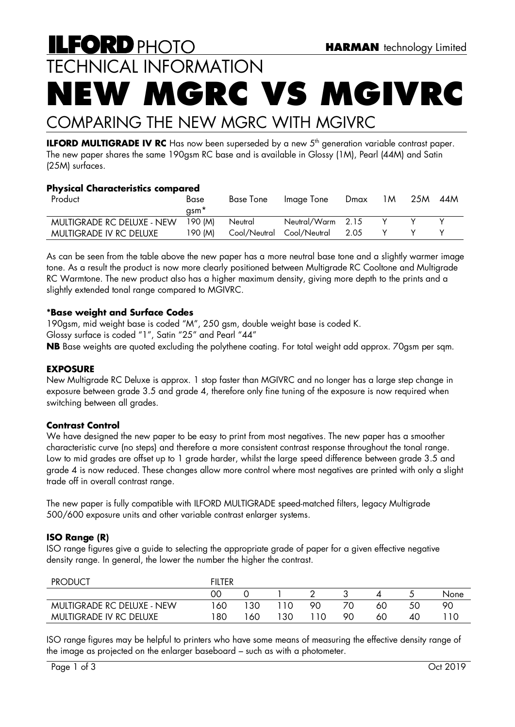# **ILFORD PHOTO HARMAN** technology Limited TECHNICAL INFORMATION **NEW MGRC VS MGIVRC**

# COMPARING THE NEW MGRC WITH MGIVRC

**ILFORD MULTIGRADE IV RC** Has now been superseded by a new 5<sup>th</sup> generation variable contrast paper. The new paper shares the same 190gsm RC base and is available in Glossy (1M), Pearl (44M) and Satin (25M) surfaces.

## **Physical Characteristics compared**

| Product                    | Base     | <b>Base Tone</b>          | Image Ione        | Dmax | 1M | 25M | 44M |
|----------------------------|----------|---------------------------|-------------------|------|----|-----|-----|
|                            | qsm*     |                           |                   |      |    |     |     |
| MULTIGRADE RC DELUXE - NEW | 190 IMI  | Neutral                   | Neutral/Warm 2.15 |      |    |     |     |
| MULTIGRADE IV RC DELUXE    | 190 IM). | Cool/Neutral Cool/Neutral |                   | 2.05 |    |     |     |

As can be seen from the table above the new paper has a more neutral base tone and a slightly warmer image tone. As a result the product is now more clearly positioned between Multigrade RC Cooltone and Multigrade RC Warmtone. The new product also has a higher maximum density, giving more depth to the prints and a slightly extended tonal range compared to MGIVRC.

# **\*Base weight and Surface Codes**

190gsm, mid weight base is coded "M", 250 gsm, double weight base is coded K.

Glossy surface is coded "1", Satin "25" and Pearl "44"

**NB** Base weights are quoted excluding the polythene coating. For total weight add approx. 70gsm per sqm.

## **EXPOSURE**

New Multigrade RC Deluxe is approx. 1 stop faster than MGIVRC and no longer has a large step change in exposure between grade 3.5 and grade 4, therefore only fine tuning of the exposure is now required when switching between all grades.

## **Contrast Control**

We have designed the new paper to be easy to print from most negatives. The new paper has a smoother characteristic curve (no steps) and therefore a more consistent contrast response throughout the tonal range. Low to mid grades are offset up to 1 grade harder, whilst the large speed difference between grade 3.5 and grade 4 is now reduced. These changes allow more control where most negatives are printed with only a slight trade off in overall contrast range.

The new paper is fully compatible with ILFORD MULTIGRADE speed-matched filters, legacy Multigrade 500/600 exposure units and other variable contrast enlarger systems.

## **ISO Range (R)**

ISO range figures give a guide to selecting the appropriate grade of paper for a given effective negative density range. In general, the lower the number the higher the contrast.

| <b>PRODUCT</b>                    | FILTER |    |     |    |    |    |    |      |
|-----------------------------------|--------|----|-----|----|----|----|----|------|
|                                   | 00     |    |     |    |    |    |    | None |
| <b>MULTIGRADE RC DELUXE - NEW</b> | 60     | 30 |     | 90 | 70 | 60 | 50 | 90   |
| MULTIGRADE IV RC DELUXE           | 80     | 60 | 130 | 10 | 90 | 60 | 40 |      |

ISO range figures may be helpful to printers who have some means of measuring the effective density range of the image as projected on the enlarger baseboard – such as with a photometer.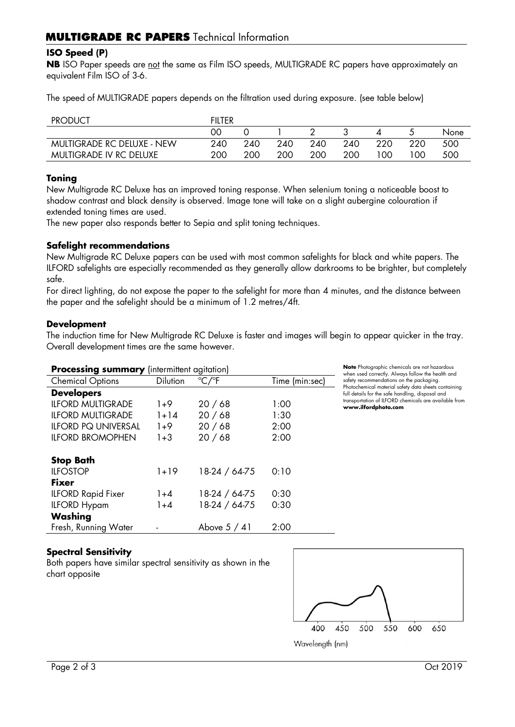#### **ISO Speed (P)**

**NB** ISO Paper speeds are not the same as Film ISO speeds, MULTIGRADE RC papers have approximately an equivalent Film ISO of 3-6.

The speed of MULTIGRADE papers depends on the filtration used during exposure. (see table below)

| <b>PRODUCT</b>             | <b>FILTER</b> |     |     |     |     |     |     |      |
|----------------------------|---------------|-----|-----|-----|-----|-----|-----|------|
|                            | 00            |     |     |     |     |     |     | None |
| MULTIGRADE RC DELUXE - NEW | 240           | 240 | 240 | 240 | 240 | 220 | 220 | 500  |
| MULTIGRADE IV RC DELUXE    | 200           | 200 | 200 | 200 | 200 | 00  | 00  | 500  |

#### **Toning**

New Multigrade RC Deluxe has an improved toning response. When selenium toning a noticeable boost to shadow contrast and black density is observed. Image tone will take on a slight aubergine colouration if extended toning times are used.

The new paper also responds better to Sepia and split toning techniques.

#### **Safelight recommendations**

New Multigrade RC Deluxe papers can be used with most common safelights for black and white papers. The ILFORD safelights are especially recommended as they generally allow darkrooms to be brighter, but completely safe.

For direct lighting, do not expose the paper to the safelight for more than 4 minutes, and the distance between the paper and the safelight should be a minimum of 1.2 metres/4ft.

#### **Development**

The induction time for New Multigrade RC Deluxe is faster and images will begin to appear quicker in the tray. Overall development times are the same however.

| <b>Processing summary</b> (intermittent agitation) |                 |                          |                |  |  |  |  |
|----------------------------------------------------|-----------------|--------------------------|----------------|--|--|--|--|
| <b>Chemical Options</b>                            | <b>Dilution</b> | $\degree$ C/ $\degree$ F | Time (min:sec) |  |  |  |  |
| <b>Developers</b>                                  |                 |                          |                |  |  |  |  |
| <b>ILFORD MULTIGRADE</b>                           | $1+9$           | 20/68                    | 1:00           |  |  |  |  |
| <b>ILFORD MULTIGRADE</b>                           | $1 + 14$        | 20/68                    | 1:30           |  |  |  |  |
| <b>ILFORD PQ UNIVERSAL</b>                         | $1+9$           | 20/68                    | 2:00           |  |  |  |  |
| <b>ILFORD BROMOPHEN</b>                            | $1 + 3$         | 20/68                    | 2:00           |  |  |  |  |
|                                                    |                 |                          |                |  |  |  |  |
| <b>Stop Bath</b>                                   |                 |                          |                |  |  |  |  |
| <b>ILFOSTOP</b>                                    | $1 + 19$        | 18-24 / 64-75            | 0:10           |  |  |  |  |
| <b>Fixer</b>                                       |                 |                          |                |  |  |  |  |
| <b>ILFORD Rapid Fixer</b>                          | $1 + 4$         | 18-24 / 64-75            | 0:30           |  |  |  |  |
| <b>ILFORD Hypam</b>                                | $1 + 4$         | 18-24 / 64-75            | 0:30           |  |  |  |  |
| Washing                                            |                 |                          |                |  |  |  |  |
| Fresh, Running Water                               |                 | Above $5/41$             | 2:00           |  |  |  |  |

**Note** Photographic chemicals are not hazardous when used correctly. Always follow the health and safety recommendations on the packaging. Photochemical material safety data sheets containing full details for the safe handling, disposal and transportation of ILFORD chemicals are available from **www.ilfordphoto.com**

## **Spectral Sensitivity**

Both papers have similar spectral sensitivity as shown in the chart opposite